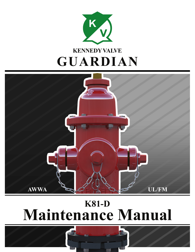



# **K81-D Maintenance Manual**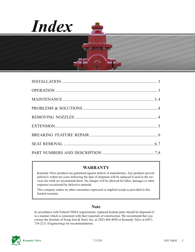



#### **WARRANTY**

Kennedy Valve products are guranteed against defects in manufacture. Any products proved defective within ten years following the date of shipment will be replaced if used in the services for whih we recommend them. No charges will be allowed for labor, damages or other expenses occasioned by defective material.

This company makes no other warranties expressed or implied except as provided in this limited warranty.

#### **Note**

In accordance with Federal OSHA requirements, replaced hydrant parts should be disposed of in a manner which is consistent with their materials of construction. We recommend that you contact the Institute of Scrap Iron & Steel, Inc. at (202) 466-4050 or Kennedy Valve at (607) 734-2211 (Engineering) for recommendations.

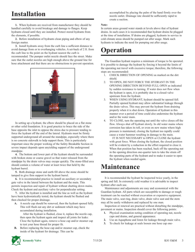### **Installation**

**1.** When hydrants are received from manufacturer they should be handled carefully to avoid breakage and damage to flanges. Keep hydrants closed until they are installed. Protect stored hydrants from the elements, if possible.

**2.** Before installation of hydrants clean piping and elbow of any foreign matter.

**3.** Install hydrants away from the curb line a sufficient distance to avoid damage from or to overhanging vehicles. A set-back of 2 ft. from the curb line to the point on the hydrant nearest the curb is

recommended. The pumper outlet nozzle should face the street. Make sure that the outlet nozzles are high enough above the ground line for hose attachment and that there are no obstructions to prevent operation.



In setting up a hydrant, the elbow should be placed on a flat stone or other solid foundation. It is good practice to brace the side of the base opposite the inlet to oppose the stress due to pressure tending to force the hydrant off the end of the lateral. Hydrants must be firmly supported underground all around the standpipe, especially where there is no concrete sidewalk to help support them. This is particularly important since the proper working of the Safety Breakable Section in severe impact depends upon unyielding support of the underground standpipe.

**4.** The bottom and lower part of the hydrant should be surrounded with broken stone or coarse gravel so that water released from the standpipe by the drain valves may escape quickly. The stone-filled area should contain a volume of water at least twice that held by the hydrant barrel.

**5.** Both drainage stone and earth fill above the stone should be tamped to give firm support to the hydrant barrel.

**6.** It is recommended practice to install an auxiliary or secondary gate valve in the lateral between the hydrant and the main. This permits inspection and repair of hydrant without shutting down mains. Check the hydrant and auxiliary valve for perpendicular setting.

**7.** After the hydrant is installed and the line as well as the hydrant have been hydrostatically tested, the hydrant should be flushed and then checked for proper drainage.

**A.** A nozzle cap should be removed, then the hydrant opened fully. This will flush out any dirt or sediment which may have accumulated during installation.

 After the hydrant is flushed, close it, replace the nozzle cap, then open the hydrant again and inspect all joints for leaks: Close the hydrant again, remove a hose cap and/or steamer cap to test your hose thread for proper fit.

**B.** Before replacing the hose cap and/or steamer cap, check the inside of the hydrant for drainage. This can be

 accomplished by placing the palm of the hand firmly over the nozzle outlet. Drainage rate should be sufficiently rapid to create a suction.

#### **Note:**

In certain areas ground water stands at levels above that of hydrant drains. In such cases it is recommended that hydrant drains be plugged at the time of installation. If drains are plugged, hydrants in service in cold climate areas should be pumped out after usage. Mark such hydrants to indicate the need for pumping out after usage.

### **Operation**

The Guardian hydrant requires a minimum of torque to be operated. It is possible to damage the hydrant by forcing it beyond the limits of the operating nut travel with excessive torque; therefore, the following steps are recommended:

- 1. CHECK DIRECTION OF OPENING as marked on the dirt shield.
- 2. TO OPEN, DO NOT FORCE THE HYDRANT IN THE OPENING DIRECTION BEYOND FULL OPEN as indicated by sudden resistance to turning. If water does not flow when the hydrant is open, it is probably due to a closed valve upstream from the hydrant.
- 3. WHEN USING HYDRANT, hydrant should be opened full. Partially opened hydrant may allow substantial leakage through the drain valves. This may prevent the hydrant from draining properly when it is shut down. Operation of hydrant in this manner over a period of time could also undermine the hydrant and/or the water main.
- 4. TO CLOSE, turn the operating nut until the valve closes off the flow. Always shut off hydrant slowly. In old water mains where corrosion has taken its toll, or even on new mains where high pressure is maintained, closing the hydrant too rapidly could cause a water hammer resulting in damage to the main.

 IT IS NOT NECESSARY to OPEN or CLOSE the hydrant with great force. When closing the hydrant, the closed position will be evident by a reduction in the effort required to close it. When that position has been reached, back off the operating nut in the opening direction one-quarter turn to take the strain off the operating parts of the hydrant and to make it easier to open the hydrant when needed again.

### **Maintenance**

It is recommended the hydrant be inspected twice yearly, in the spring and fall. In extremely cold weather it is advisable to inspect hydrant after each use.

Maintenance and adjustments are easy and economical with the Guardian hydrant. All parts which are susceptible to damage or rough treatment can be reached without excavation or expensive equipment. The main valve, seat ring, drain valve, drain valve seat and the stem may all be easily withdrawn and replaced by one man.

Inspection or renewal are practical without disturbing the standpipe, pavement or mains. Inspection should cover the following points:

- **1.** Physical examination noting condition of operating nut, nozzle caps and drains, and general appearance.
- **2.** Use an Aquaphone and listen for leakage through main valve.
- **3.** To check for leakage at seals loosen one hose cap one-

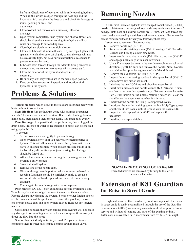half turn. Check ease of operation while fully opening hydrant. When all the air has escaped through the hose cap and the hydrant is full, re-tighten the hose cap and check for leakage at joints, packing or seals, and outlet caps.

- **4.** Close hydrant and remove one nozzle cap. Observe drainage.
- **5.** Open hydrant completely, flush hydrant and observe flow. Care should be taken that the water coming from hydrant will not cause any damage to surrounding area.
- **6.** Close hydrant slowly to insure tight closure.
- **7.** Clean and lubricate all nozzle threads. Replace caps, tighten with spanner wrench, then back off slightly so that the caps will not be excessively tight, but have sufficient frictional resistance to prevent removal by hand.
- **8.** Lubricate stem threads through the Alemite fitting centered in the operating nut (one or two pumps with a grease gun).
- **9.** Clean the exterior of the hydrant and repaint, if necessary.
- **10.** Be sure any auxiliary valves are in the wide open position.
- **11.** Keep complete records on inspection and location of all hydrants in the system.

## **Problems & Solutions**

Various problems which occur in the field are described below with hints on how to solve them.

**Stem Binding:** Rap the hydrant dome with hammer or spanner wrench. This often will unbind the stem. If stem still binding, loosen dome bolts. Stem should then operate easily. Retighten bolts evenly.

**Poor Drainage:** It is possible dirt or pebbles may have plugged the drain holes. Presence of water or ice standing in barrel can be checked using a plumb bob.

To correct:

- **1.** Screw nozzle caps on tightly to prevent leakage.
- **2.** Open hydrant slowly until you hear water entering barrel of hydrant. This will allow water to enter the hydrant with drain valve in an open position. When enough pressure builds up in the barrel any dirt or foreign objects causing the blockage should be forced out.
- **3.** After a few minutes, resume turning the operating nut until the hydrant is fully opened.
- **4.** Slowly shut off hydrant.
- **5.** Remove one of the nozzle caps.
- **6.** Observe through nozzle port to make sure water in barrel is receding. Drainage should be sufficiently rapid to create a suction if palm of hand is placed over a nozzle outlet during drainage.
- **7.** Check again for seat leakage with the Aquaphone.

**Poor Shutoff:** DO NOT exert extra torque forcing hydrant to close. Trouble may be a stone lodged between the seat and the main valve. Forcing closure may damage the hydrant. Stones or other foreign objects are the usual causes of this problem. To correct this problem, remove one or both nozzle caps and open hydrant fully to flush out any foreign material.

Care should be taken that water coming from hydrant will not cause any damage to surrounding area. Attach a canvas apron if necessary, to direct the flow into the street.

Shut off hydrant slowly until fully closed. Put your ear to nozzle opening to hear if water has stopped coming through main valve.

### **Removing Nozzles**

In 1982 most Guardian hydrants were changed from threaded (12 T.P.I.) nozzle to 1/4-turn nozzle, designed to provide easy replacement in case of damage. Both hose and steamer nozzles are 1/4-turn, left-hand thread segments, and are secured by a stainless steel retaining screw. 1/4-turn nozzles can be removed without difficulty by following these steps:

Instructions to remove 1/4-turn nozzles:

- **1.** Remove nozzle cap (K-8144).
- **2.** Remove nozzle retaining screw (K-8141) using a 1/4" Hex Allen Wrench and turning counter-clockwise.
- **3.** Insert nozzle removing wrench (K-8148) into nozzle (K-8140) and engage nozzle lugs with slots in wrench.
- **4.** Use a 1" diameter bar to turn the nozzle wrench in a clockwise\* direction (right) 1/4-turn and remove the nozzle. Note: Nozzles are held in the upper by segments of a left-hand thread.
- **5.** Remove the old nozzle "O"-Ring (K-8145).
- **6.** Inspect the nozzle seating surface in the upper barrel (K-8115) and remove any dirt or sediment.
- **7.** Lubricate the new "O"-Ring and place into upper barrel.
- **8.** Insert new nozzle and use nozzle wrench (K-8148) and 1" diameter bar to turn nozzle approximately 1/4-turn counter-clockwise (left). Turn nozzle so the nozzle retaining screw will clear the shoulder on the upper casting when it is inserted.
- **9.** Check that the nozzle "O"-Ring is compressed evenly.
- **10.** Lubricate the nozzle retaining screw with a Moly-Type grease and thread it into nozzle until it is flush with the nozzle I.D.
- **11.** Inspect nozzle cap gasket (K-8143) and replace if necessary.
- **12.** Install nozzle cap and tighten.



#### **NOZZLE-REMOVING TOOLS K-8148**

Threaded nozzles are removed by turning to the left or counter-clockwise.

#### **Extension of K81 Guardian for Raise in Street Grade**

Height extension of the Guardian hydrant to compensate for a raise in street grade is easily accomplished through the use of the Guardian extension kit (K-8150) without any excavation of interruption of water service and without discarding any parts of the existing hydrant. Extensions are available in 6" increments from 6"- to 36"-in length.

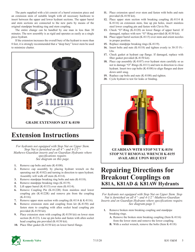The parts supplied with a kit consist of a barrel extension piece and an extension stem of suitable length with all necessary hardware to insert between the upper and lower hydrant sections. The upper barrel and stem sections are connected to the new parts by means of the original standpipe breaking ring and stem coupling.

The entire change can be handled by one man in less than 30 minutes. The new assembly is as rigid and operates as easily as a single piece hydrant.

If the extension increases the overall bury of the hydrant to more than 8 feet, it is strongly recommended that a "deep bury" lower stem be used to minimize chatter.



### **Extension Instructions**

*For hydrants not equipped with Stop Nut on Upper Stem. Stop Nut is furnished on all 4"- and 4-1/2"- Mathews-Guardian inserts and on Guardian Hydrants where specifications require. See diagram on this page.*

- **1.** Remove cap bolts and nuts (K-8108).
- **2.** Remove cap assembly by placing hydrant wrench on the operating nut (K-8102) and turning in direction to open hydrant. Assembly will walk off stem (K-8114).
- **3.** Remove standpipe breaking ring bolts and nuts (K-8118).
- **4.** Remove standpipe breaking rings (K-8119).
- **5.** Lift upper barrel (K-8115) over stem (K-8114).
- **6.** Remove Coupling Pin (K-8122R) from stainless steel lower coupling pin (K-8122R) and remove pin from the coupling (K-8116).
- **7.** Remove upper stem section with coupling (K-8114 & K-8116).
- **8.** Remove extension stem and coupling from kit (K-8150) and fasten stem to coupling with allen socket head coupling pin provided (K-8150 kit).
- **9.** Place extension stem with coupling (K-8150 kit) on lower stem section (K-8123). Line up pin holes and fasten with allen socket head coupling pin provided (K-8150 kit).
- **10.** Place fiber gasket (K-8150 kit) on lower barrel flange.
- **11.** Place extension spool over stem and fasten with bolts and nuts provided (K-8150 kit).
- **12.** Place upper stem section with breaking coupling (K-8114 & K-8116) on extension stem, line up pin holes, insert stainless steel lower coupling pin and fasten with Clevis Pin.
- **13.** Check "O"-Ring (K-8120) on lower flange of upper barrel. If damaged, replace with new "O"-Ring provided (K-8150 kit).
- **14.** Place upper barrel section (K-8115) over stem and orient nozzles in proper position.
- **15.** Replace standpipe breaking rings (K-8119).
- **16.** Insert bolts and nuts (K-8118) and tighten evenly to 30-35 Ft.- Lbs.
- **17.** Check gasket at hydrant cap flange. If damaged, replace with fiber gasket provided (K-8150 kit).
- **18.** Place cap assembly (K-8107) over hydrant stem carefully so as not to damage "O"-Rings (K-8111) and turn in direction to close hydrant. Insert two cap bolts (K-8108) to align flanges and draw down until snug.
- **19.** Replace cap bolts and nuts (K-8108) and tighten.
- **20.** Cycle hydrant to test for leaks or binding.



**STOP NUT REMOVAL WRENCH K-8155 AVAILABLE UPON REQUEST**

### **Repairing Directions for Breakout Couplings on K81A, K81AD & K81AW Hydrants**

*For hydrants not equipped with Stop Nut on Upper Stem. Stop Nut is furnished on all 4"- and 4-1/2"-Mathews-Guardian Inserts and on Guardian Hydrants where specifications require. See diagram-page 5.*

- **1.** Remove broken stem breaking coupling and standpipe breaking rings.
	- **A.** Remove the broken stem breaking coupling (Item K-8116) from the lower stem and remove the lower coupling.
	- **B.** With a socket wrench, remove the bolts (Item K-8118)

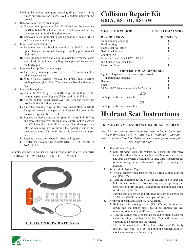holding the broken standpipe breaking rings (Item K-8119) pieces and remove the pieces. Lay the hydrant upper on the ground.

- **2.** Remove stem from hydrant upper.
	- **A.** Unscrew the upper stem (Item K-8114) from the operating nut (Item K-8102) by holding the stem stationary and turning the operating nut in the direction to open.
	- **B.** Remove broken upper stem breaking coupling (Item K-8116) and the upper coupling pin.
- **3.** Install new stem coupling.
	- **A.** Place the new stem breaking coupling (K-8149 kit) on the upper stem and secure with the upper coupling pins provided (K-8149 kit).
	- **B.** Slide the upper stem and coupling assembly over the lower stem. Push in the lower coupling clevis pin and fasten with the bridge pin.
- **4.** Remove the cap from hydrant upper.
	- **A.** Place the hydrant upper barrel (Item K-8115) on cardboard or other clean surface.
	- **B.** With a socket wrench, remove the bolts (Item K-8108) holding the cap (Item K-8107) to the upper barrel and remove cap.
- **5.** Reassemble hydrant.
	- **A.** Check the "O"-Ring (Item K-8120) on the bottom of the hydrant upper barrel. Replace if damaged (K-8149 kit).
	- **B.** Set the hydrant upper barrel over the stem and orient the nozzles in the direction required.
	- **C.** Place the breaking rings on the lower barrel (Item K-8124) flange and around the upper barrel. Replace the bolts in the breaking rings and finger tight.
	- **D.** Replace the hydrant cap gasket (Item K-8109) (K-8149 Kit) and lower the cap over the stem. (Be careful not to damage the "O"-Rings (Item K-8111) in the cap.) Start the upper stem into the operating nut by turning the operating nut in the direction to close. Turn until the cap is seated on the upper barrel.
	- **E.** Replace the cap bolts (Item K-8109) and tighten.
	- **F.** Tighten the breaking rings bolts (Item K-8118) evenly to 30-35 Ft./Lb.

#### **NOTE:** CHECK FOR FREE OPERATION BY CYCLING THE HYDRANT FROM FULLY OPEN TO FULLY CLOSED.



### **Collision Repair Kit K81A, K81AD, K81AW**

#### **5-1/4"-ITEM #1-58008 4-1/2"-ITEM #1-58007**

| <b>DESCRIPTION</b>                                     | <b>OUANTITY</b> |
|--------------------------------------------------------|-----------------|
| Stem breaking coupling                                 |                 |
| Breaking ring                                          | 2               |
| Flange seal "O"-Ring                                   |                 |
| Gasket hydrant cap                                     |                 |
| Coupling Pin                                           | $\mathfrak{D}$  |
| Screw hex head plated $1/2$ " x $2-3/4$ "              | 8               |
| Nut finished hex plated 1/2"                           | 8               |
| <b>Instruction Sheet</b>                               |                 |
| <b>PROPER TOOLS REQUIRED</b>                           |                 |
| Figure 111 spanner wrench with proper sized            |                 |
| operating nut opening                                  |                 |
| Hammer                                                 |                 |
| Pliers                                                 |                 |
| $3/8$ " - or $1/2$ "-drive ratchet with $3/4$ "-socket |                 |
| AND                                                    |                 |
| $3/4$ "-open or box end wrench                         | 1               |
| OR                                                     |                 |

### **Hydrant Seat Instructions**

3/4"-open or box end wrenches 2

#### **REMOVING WRENCH ON GUARDIAN HYDRANT**

*For hydrants not equipped with Stop Nut on Upper Stem. Stop Nut is furnished on all 4"- and 4-1/2"-Mathews-Guardian Inserts and on Guardian Hydrants where specifications require. See diagram-page 5.*

- **1.** Shut off Water Supply.
	- **A.** Shut off water supply to hydrant by closing the gate valve controlling flow of water to the hydrant. Remove a nozzle cap and open the hydrant a maximum of three turns. Remember, for operator safety, remove the nozzle cap before opening the hydrant.
- **2.** Removal of Hydrant Cap.
	- **A.** With a socket wrench, take out the bolts (K-8108) holding the cap (K-8107).
	- **B.** Turn the operating nut (K-8102) in the direction to open and hold the cap to keep it from rotating as the operating nut unscrews and lifts the cap. Turn until the operating nut walks off the stem (K-8114).
	- **C.** Lift the cap straight up and off. Take care not to damage the "O"-Rings (K-8111) in the lower part of the cap.
- **3.** Removal of Stem and Drain Valve Assembly
	- **A.** Slide the seat removing wrench (K-8147) over the stem and down into the upper barrel (K-8115). Thread the seat removing stem nut (K-8147) on to the stem.
	- **B.** Turn the wrench while tightening the nut to align it with the stem breaking coupling (K-8116). This will allow the coupling to be drawn into the wrench.
	- **C.** Lift on the wrench, to pull the drain valve (K-8136) firmly into the seat ring (K-8128) and turn the wrench counterclockwise to unscrew the seat ring.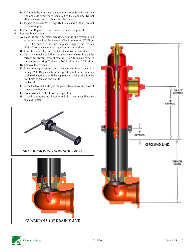- **D.** Lift the entire drain valve and stem assembly, with the seat ring and seat removing wrench, out of the standpipe. Do not allow the seat ring to rub against the lower.
- **E.** Inspect to be sure "O"-Rings (K-8126A and K-8130) are not in the standpipe.
- **4.** Inspect and Replace, if Necessary, Hydrant Components.
- **5.** Reassemble Hydrant.
	- **A.** Place the seat ring, stem, breaking coupling and hydrant drain valve as a unit into the wrench. Check to assure "O"-Rings (K-8126A and K-8130) are in place. Engage the wrench (K-8147) on the stem breaking coupling and tighten.
	- **B.** Insert this assembly into the barrel and lower carefully.
	- **C.** Turn the wrench one full turn counter-clockwise to line up the threads to prevent cross-threading. Then turn clockwise to tighten the seat ring. Tighten to 300 Ft.-Lbs. + or 30 Ft.-Lbs.
	- **D.** Remove the wrench.
	- **E.** Lower the cap assembly onto the stem carefully so as not to damage "O"-Rings and turn the operating nut in the direction to close the hydrant, until the cap seats on the barrel, align the bolt holes in the cap and bolt to the barrel.
	- **F.** Close the hydrant and open the gate valve controlling flow of water to the hydrant.
	- **G.** Cycle hydrant to check for free operation.
	- **H.** Close hydrant, wait for hydrant to drain, then reinstall nozzle cap and tighten.



**GUARDIAN 5-1/4" DRAIN VALVE**